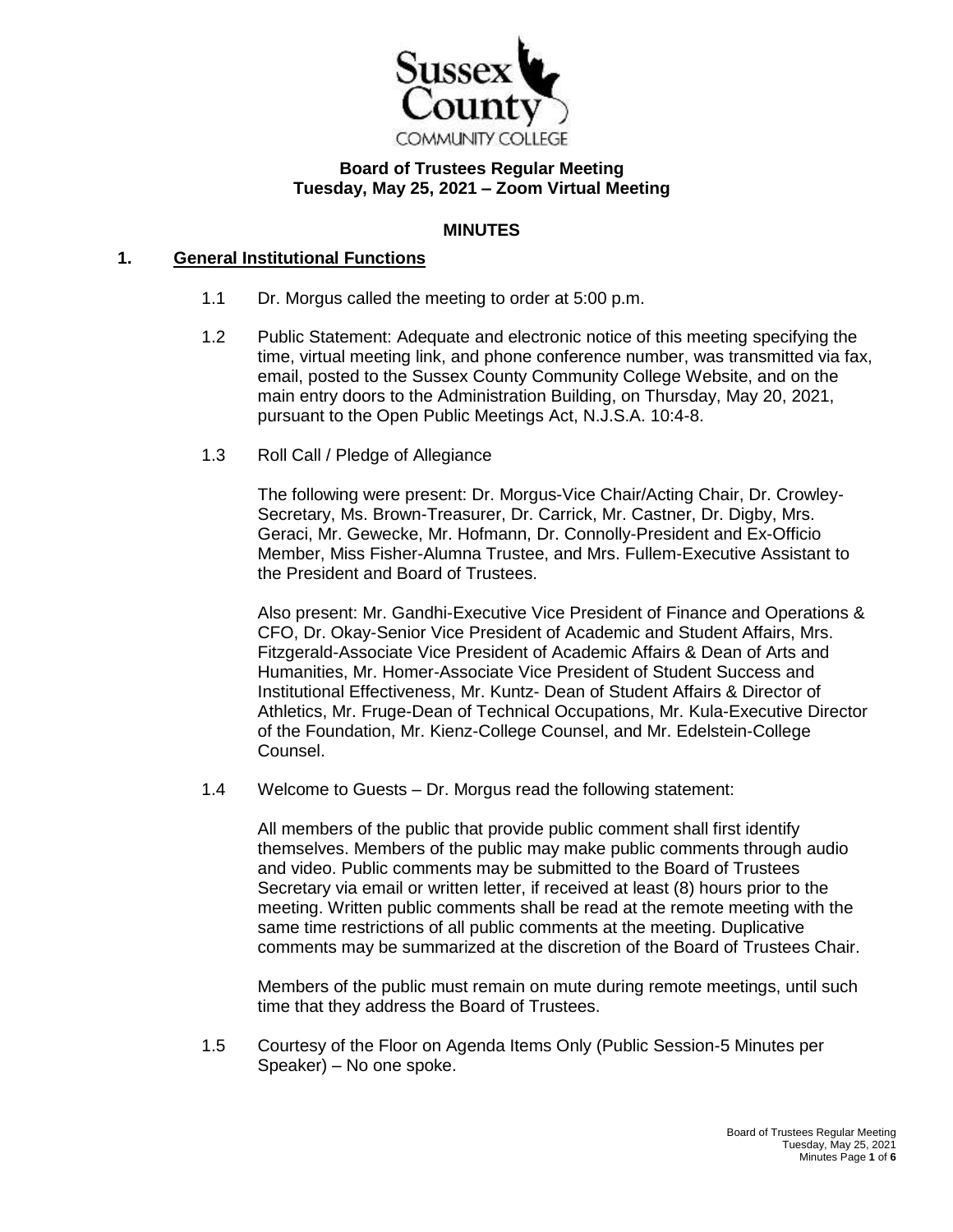

# **Board of Trustees Regular Meeting Tuesday, May 25, 2021 – Zoom Virtual Meeting**

# **MINUTES**

### **1. General Institutional Functions**

- 1.1 Dr. Morgus called the meeting to order at 5:00 p.m.
- 1.2 Public Statement: Adequate and electronic notice of this meeting specifying the time, virtual meeting link, and phone conference number, was transmitted via fax, email, posted to the Sussex County Community College Website, and on the main entry doors to the Administration Building, on Thursday, May 20, 2021, pursuant to the Open Public Meetings Act, N.J.S.A. 10:4-8.
- 1.3 Roll Call / Pledge of Allegiance

The following were present: Dr. Morgus-Vice Chair/Acting Chair, Dr. Crowley-Secretary, Ms. Brown-Treasurer, Dr. Carrick, Mr. Castner, Dr. Digby, Mrs. Geraci, Mr. Gewecke, Mr. Hofmann, Dr. Connolly-President and Ex-Officio Member, Miss Fisher-Alumna Trustee, and Mrs. Fullem-Executive Assistant to the President and Board of Trustees.

Also present: Mr. Gandhi-Executive Vice President of Finance and Operations & CFO, Dr. Okay-Senior Vice President of Academic and Student Affairs, Mrs. Fitzgerald-Associate Vice President of Academic Affairs & Dean of Arts and Humanities, Mr. Homer-Associate Vice President of Student Success and Institutional Effectiveness, Mr. Kuntz- Dean of Student Affairs & Director of Athletics, Mr. Fruge-Dean of Technical Occupations, Mr. Kula-Executive Director of the Foundation, Mr. Kienz-College Counsel, and Mr. Edelstein-College Counsel.

1.4 Welcome to Guests – Dr. Morgus read the following statement:

All members of the public that provide public comment shall first identify themselves. Members of the public may make public comments through audio and video. Public comments may be submitted to the Board of Trustees Secretary via email or written letter, if received at least (8) hours prior to the meeting. Written public comments shall be read at the remote meeting with the same time restrictions of all public comments at the meeting. Duplicative comments may be summarized at the discretion of the Board of Trustees Chair.

Members of the public must remain on mute during remote meetings, until such time that they address the Board of Trustees.

1.5 Courtesy of the Floor on Agenda Items Only (Public Session-5 Minutes per Speaker) – No one spoke.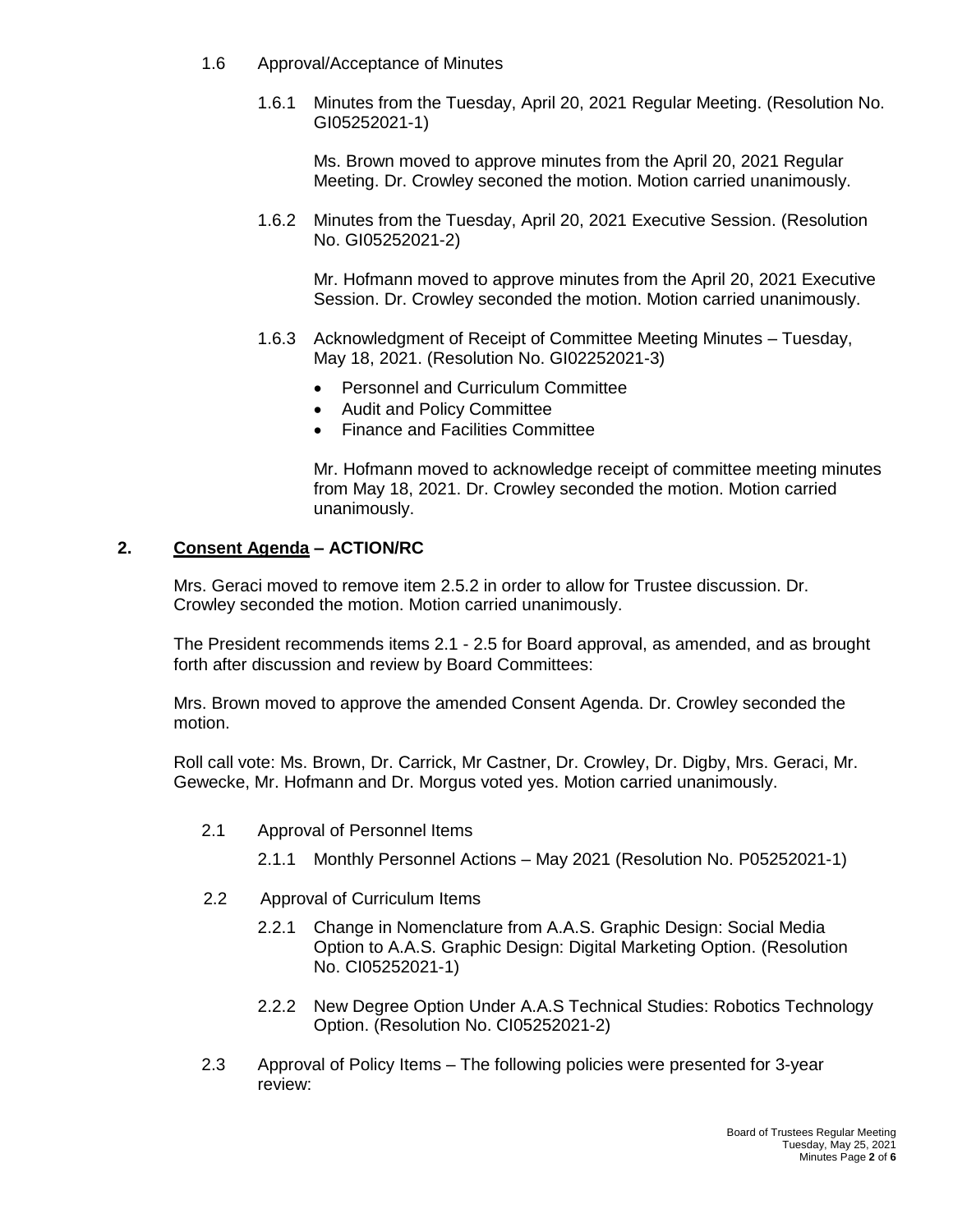- 1.6 Approval/Acceptance of Minutes
	- 1.6.1 Minutes from the Tuesday, April 20, 2021 Regular Meeting. (Resolution No. GI05252021-1)

Ms. Brown moved to approve minutes from the April 20, 2021 Regular Meeting. Dr. Crowley seconed the motion. Motion carried unanimously.

1.6.2 Minutes from the Tuesday, April 20, 2021 Executive Session. (Resolution No. GI05252021-2)

Mr. Hofmann moved to approve minutes from the April 20, 2021 Executive Session. Dr. Crowley seconded the motion. Motion carried unanimously.

- 1.6.3 Acknowledgment of Receipt of Committee Meeting Minutes Tuesday, May 18, 2021. (Resolution No. GI02252021-3)
	- Personnel and Curriculum Committee
	- Audit and Policy Committee
	- Finance and Facilities Committee

Mr. Hofmann moved to acknowledge receipt of committee meeting minutes from May 18, 2021. Dr. Crowley seconded the motion. Motion carried unanimously.

### **2. Consent Agenda – ACTION/RC**

Mrs. Geraci moved to remove item 2.5.2 in order to allow for Trustee discussion. Dr. Crowley seconded the motion. Motion carried unanimously.

The President recommends items 2.1 - 2.5 for Board approval, as amended, and as brought forth after discussion and review by Board Committees:

Mrs. Brown moved to approve the amended Consent Agenda. Dr. Crowley seconded the motion.

Roll call vote: Ms. Brown, Dr. Carrick, Mr Castner, Dr. Crowley, Dr. Digby, Mrs. Geraci, Mr. Gewecke, Mr. Hofmann and Dr. Morgus voted yes. Motion carried unanimously.

- 2.1 Approval of Personnel Items
	- 2.1.1 Monthly Personnel Actions May 2021 (Resolution No. P05252021-1)
- 2.2 Approval of Curriculum Items
	- 2.2.1 Change in Nomenclature from A.A.S. Graphic Design: Social Media Option to A.A.S. Graphic Design: Digital Marketing Option. (Resolution No. CI05252021-1)
	- 2.2.2 New Degree Option Under A.A.S Technical Studies: Robotics Technology Option. (Resolution No. CI05252021-2)
- 2.3 Approval of Policy Items The following policies were presented for 3-year review: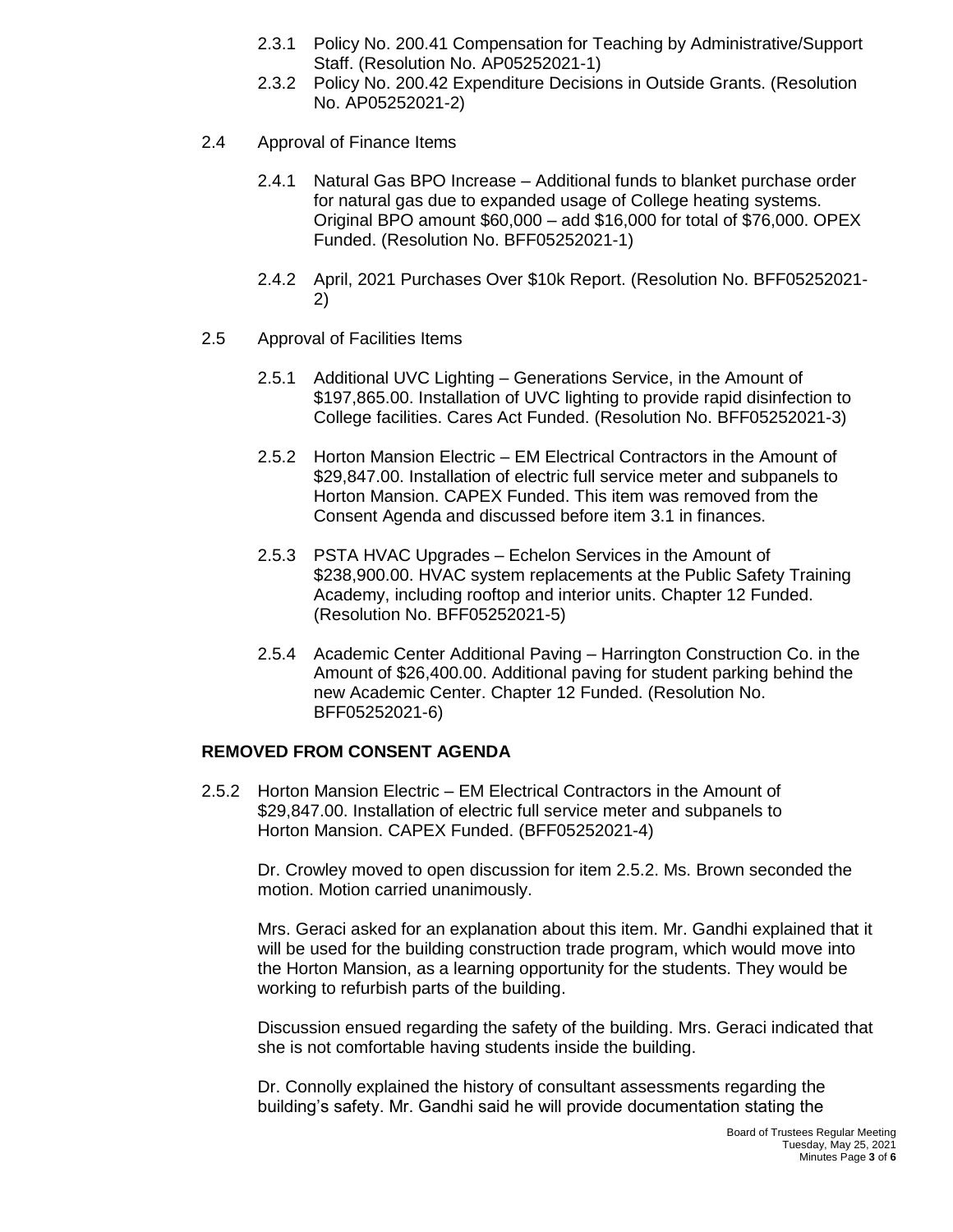- 2.3.1 Policy No. 200.41 Compensation for Teaching by Administrative/Support Staff. (Resolution No. AP05252021-1)
- 2.3.2 Policy No. 200.42 Expenditure Decisions in Outside Grants. (Resolution No. AP05252021-2)
- 2.4 Approval of Finance Items
	- 2.4.1 Natural Gas BPO Increase Additional funds to blanket purchase order for natural gas due to expanded usage of College heating systems. Original BPO amount \$60,000 – add \$16,000 for total of \$76,000. OPEX Funded. (Resolution No. BFF05252021-1)
	- 2.4.2 April, 2021 Purchases Over \$10k Report. (Resolution No. BFF05252021- 2)
- 2.5 Approval of Facilities Items
	- 2.5.1 Additional UVC Lighting Generations Service, in the Amount of \$197,865.00. Installation of UVC lighting to provide rapid disinfection to College facilities. Cares Act Funded. (Resolution No. BFF05252021-3)
	- 2.5.2 Horton Mansion Electric EM Electrical Contractors in the Amount of \$29,847.00. Installation of electric full service meter and subpanels to Horton Mansion. CAPEX Funded. This item was removed from the Consent Agenda and discussed before item 3.1 in finances.
	- 2.5.3 PSTA HVAC Upgrades Echelon Services in the Amount of \$238,900.00. HVAC system replacements at the Public Safety Training Academy, including rooftop and interior units. Chapter 12 Funded. (Resolution No. BFF05252021-5)
	- 2.5.4 Academic Center Additional Paving Harrington Construction Co. in the Amount of \$26,400.00. Additional paving for student parking behind the new Academic Center. Chapter 12 Funded. (Resolution No. BFF05252021-6)

### **REMOVED FROM CONSENT AGENDA**

2.5.2 Horton Mansion Electric – EM Electrical Contractors in the Amount of \$29,847.00. Installation of electric full service meter and subpanels to Horton Mansion. CAPEX Funded. (BFF05252021-4)

Dr. Crowley moved to open discussion for item 2.5.2. Ms. Brown seconded the motion. Motion carried unanimously.

Mrs. Geraci asked for an explanation about this item. Mr. Gandhi explained that it will be used for the building construction trade program, which would move into the Horton Mansion, as a learning opportunity for the students. They would be working to refurbish parts of the building.

Discussion ensued regarding the safety of the building. Mrs. Geraci indicated that she is not comfortable having students inside the building.

Dr. Connolly explained the history of consultant assessments regarding the building's safety. Mr. Gandhi said he will provide documentation stating the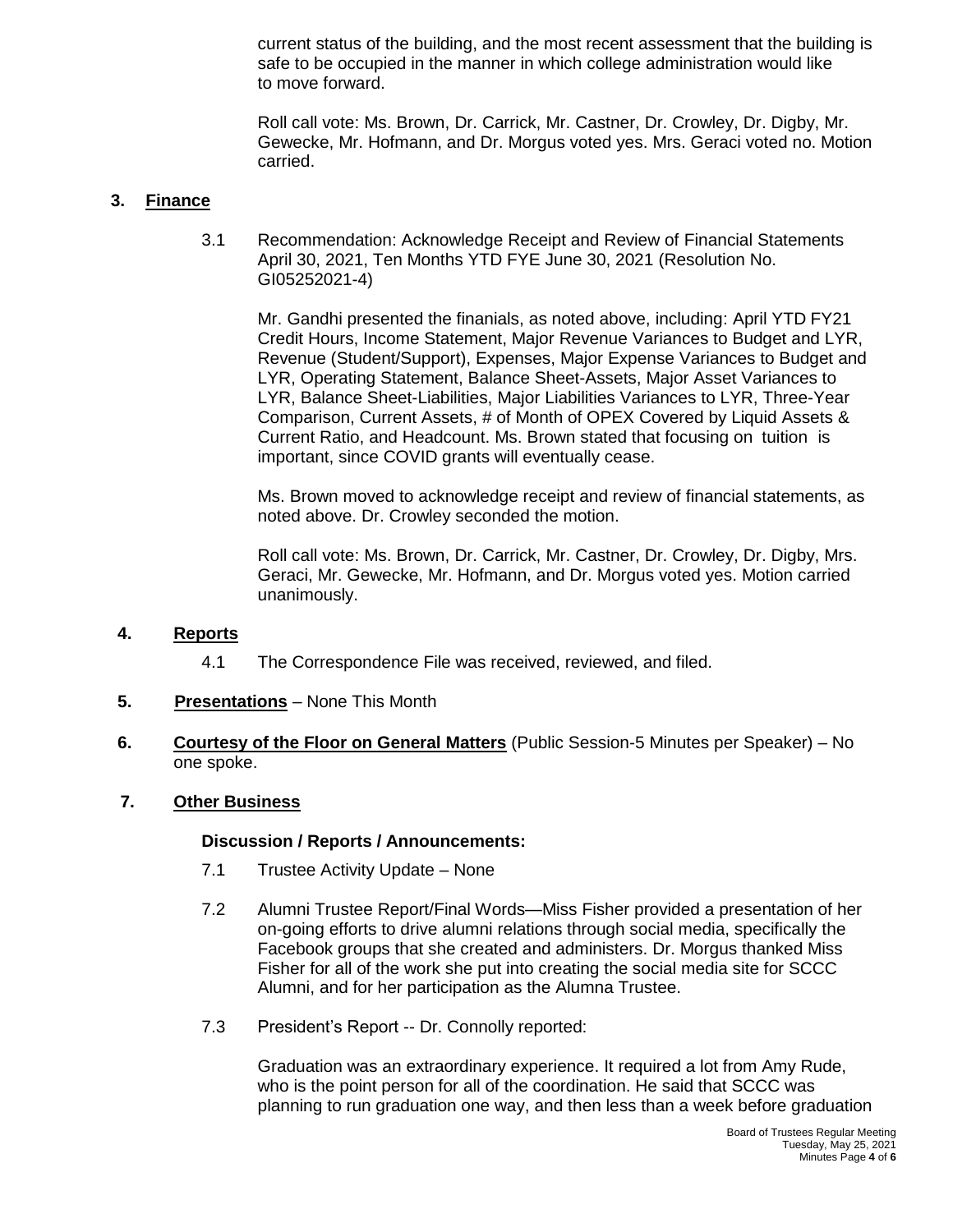current status of the building, and the most recent assessment that the building is safe to be occupied in the manner in which college administration would like to move forward.

Roll call vote: Ms. Brown, Dr. Carrick, Mr. Castner, Dr. Crowley, Dr. Digby, Mr. Gewecke, Mr. Hofmann, and Dr. Morgus voted yes. Mrs. Geraci voted no. Motion carried.

# **3. Finance**

3.1 Recommendation: Acknowledge Receipt and Review of Financial Statements April 30, 2021, Ten Months YTD FYE June 30, 2021 (Resolution No. GI05252021-4)

Mr. Gandhi presented the finanials, as noted above, including: April YTD FY21 Credit Hours, Income Statement, Major Revenue Variances to Budget and LYR, Revenue (Student/Support), Expenses, Major Expense Variances to Budget and LYR, Operating Statement, Balance Sheet-Assets, Major Asset Variances to LYR, Balance Sheet-Liabilities, Major Liabilities Variances to LYR, Three-Year Comparison, Current Assets, # of Month of OPEX Covered by Liquid Assets & Current Ratio, and Headcount. Ms. Brown stated that focusing on tuition is important, since COVID grants will eventually cease.

Ms. Brown moved to acknowledge receipt and review of financial statements, as noted above. Dr. Crowley seconded the motion.

Roll call vote: Ms. Brown, Dr. Carrick, Mr. Castner, Dr. Crowley, Dr. Digby, Mrs. Geraci, Mr. Gewecke, Mr. Hofmann, and Dr. Morgus voted yes. Motion carried unanimously.

## **4. Reports**

- 4.1 The Correspondence File was received, reviewed, and filed.
- **5. Presentations** None This Month
- **6. Courtesy of the Floor on General Matters** (Public Session-5 Minutes per Speaker) No one spoke.

## **7. Other Business**

### **Discussion / Reports / Announcements:**

- 7.1 Trustee Activity Update None
- 7.2 Alumni Trustee Report/Final Words—Miss Fisher provided a presentation of her on-going efforts to drive alumni relations through social media, specifically the Facebook groups that she created and administers. Dr. Morgus thanked Miss Fisher for all of the work she put into creating the social media site for SCCC Alumni, and for her participation as the Alumna Trustee.
- 7.3 President's Report -- Dr. Connolly reported:

Graduation was an extraordinary experience. It required a lot from Amy Rude, who is the point person for all of the coordination. He said that SCCC was planning to run graduation one way, and then less than a week before graduation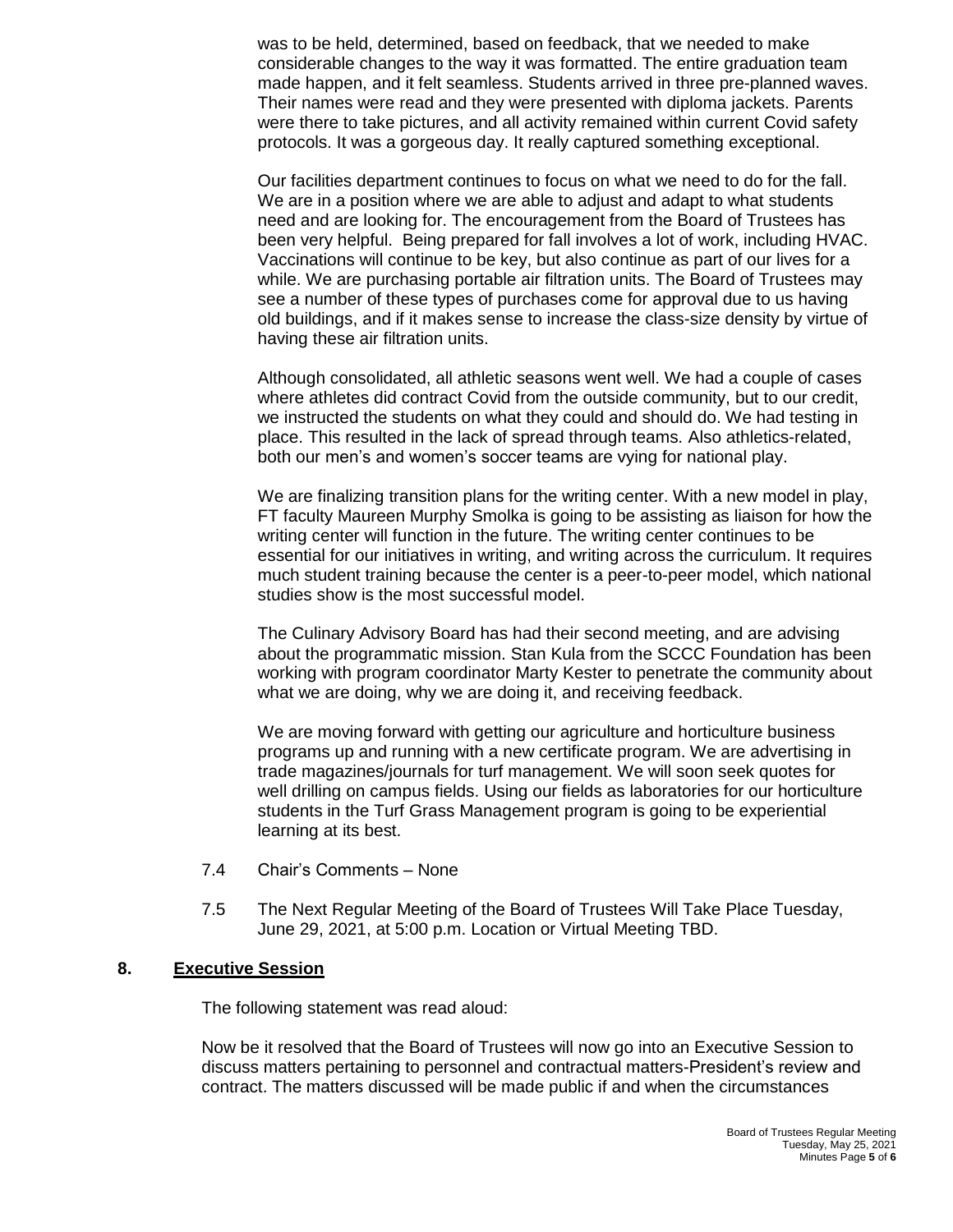was to be held, determined, based on feedback, that we needed to make considerable changes to the way it was formatted. The entire graduation team made happen, and it felt seamless. Students arrived in three pre-planned waves. Their names were read and they were presented with diploma jackets. Parents were there to take pictures, and all activity remained within current Covid safety protocols. It was a gorgeous day. It really captured something exceptional.

Our facilities department continues to focus on what we need to do for the fall. We are in a position where we are able to adjust and adapt to what students need and are looking for. The encouragement from the Board of Trustees has been very helpful. Being prepared for fall involves a lot of work, including HVAC. Vaccinations will continue to be key, but also continue as part of our lives for a while. We are purchasing portable air filtration units. The Board of Trustees may see a number of these types of purchases come for approval due to us having old buildings, and if it makes sense to increase the class-size density by virtue of having these air filtration units.

Although consolidated, all athletic seasons went well. We had a couple of cases where athletes did contract Covid from the outside community, but to our credit, we instructed the students on what they could and should do. We had testing in place. This resulted in the lack of spread through teams. Also athletics-related, both our men's and women's soccer teams are vying for national play.

We are finalizing transition plans for the writing center. With a new model in play, FT faculty Maureen Murphy Smolka is going to be assisting as liaison for how the writing center will function in the future. The writing center continues to be essential for our initiatives in writing, and writing across the curriculum. It requires much student training because the center is a peer-to-peer model, which national studies show is the most successful model.

The Culinary Advisory Board has had their second meeting, and are advising about the programmatic mission. Stan Kula from the SCCC Foundation has been working with program coordinator Marty Kester to penetrate the community about what we are doing, why we are doing it, and receiving feedback.

We are moving forward with getting our agriculture and horticulture business programs up and running with a new certificate program. We are advertising in trade magazines/journals for turf management. We will soon seek quotes for well drilling on campus fields. Using our fields as laboratories for our horticulture students in the Turf Grass Management program is going to be experiential learning at its best.

- 7.4 Chair's Comments None
- 7.5 The Next Regular Meeting of the Board of Trustees Will Take Place Tuesday, June 29, 2021, at 5:00 p.m. Location or Virtual Meeting TBD.

### **8. Executive Session**

The following statement was read aloud:

Now be it resolved that the Board of Trustees will now go into an Executive Session to discuss matters pertaining to personnel and contractual matters-President's review and contract. The matters discussed will be made public if and when the circumstances